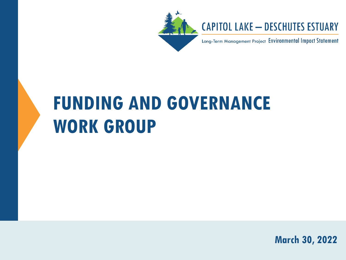

### **CAPITOL LAKE - DESCHUTES ESTUARY**

Long-Term Management Project Environmental Impact Statement

# **FUNDING AND GOVERNANCE WORK GROUP**

**March 30, 2022**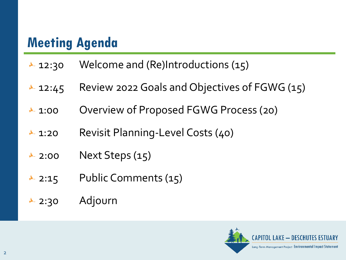### **Meeting Agenda**

- $\textcolor{red}{\star}$  12:30 Welcome and (Re)Introductions (15)
- ► 12:45 Review 2022 Goals and Objectives of FGWG (15)
- ► 1:00 Overview of Proposed FGWG Process (20)
- ★ 1:20 Revisit Planning-Level Costs (40)
- $\overline{\phantom{a}}$  2:00 Next Steps (15)
- $\overline{\phantom{a}}$  2:15 Public Comments (15)
- 2:30 Adjourn

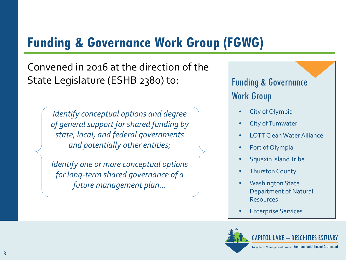### **Funding & Governance Work Group (FGWG)**

Convened in 2016 at the direction of the State Legislature (ESHB 2380) to: Funding & Governance

*Identify conceptual options and degree of general support for shared funding by state, local, and federal governments and potentially other entities;*

*Identify one or more conceptual options for long-term shared governance of a future management plan…*

Work Group

- City of Olympia
- **City of Tumwater**
- LOTT Clean Water Alliance
- Port of Olympia
- Squaxin Island Tribe
- **Thurston County**
- **Washington State** Department of Natural Resources
- Enterprise Services

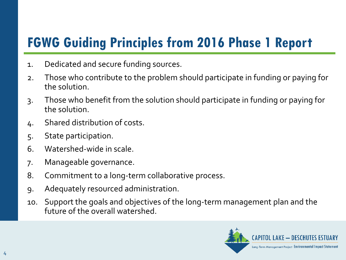### **FGWG Guiding Principles from 2016 Phase 1 Report**

- 1. Dedicated and secure funding sources.
- 2. Those who contribute to the problem should participate in funding or paying for the solution.
- 3. Those who benefit from the solution should participate in funding or paying for the solution.
- 4. Shared distribution of costs.
- 5. State participation.
- 6. Watershed-wide in scale.
- 7. Manageable governance.
- 8. Commitment to a long-term collaborative process.
- 9. Adequately resourced administration.
- 10. Support the goals and objectives of the long-term management plan and the future of the overall watershed.

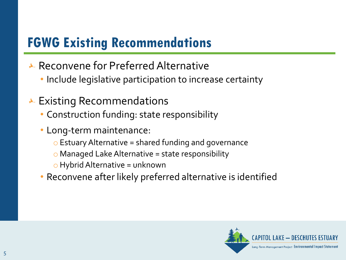### **FGWG Existing Recommendations**

- ► Reconvene for Preferred Alternative
	- Include legislative participation to increase certainty
- $\overline{\phantom{a}}$  Existing Recommendations
	- Construction funding: state responsibility
	- Long-term maintenance:
		- o Estuary Alternative = shared funding and governance
		- $\circ$  Managed Lake Alternative = state responsibility
		- $\circ$  Hybrid Alternative = unknown
	- Reconvene after likely preferred alternative is identified

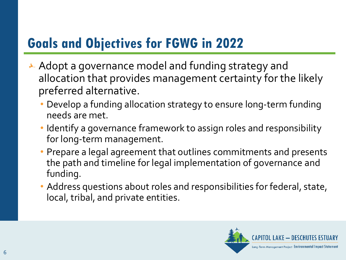### **Goals and Objectives for FGWG in 2022**

- $\star$  Adopt a governance model and funding strategy and allocation that provides management certainty for the likely preferred alternative.
	- Develop a funding allocation strategy to ensure long-term funding needs are met.
	- Identify a governance framework to assign roles and responsibility for long-term management.
	- Prepare a legal agreement that outlines commitments and presents the path and timeline for legal implementation of governance and funding.
	- Address questions about roles and responsibilities for federal, state, local, tribal, and private entities.

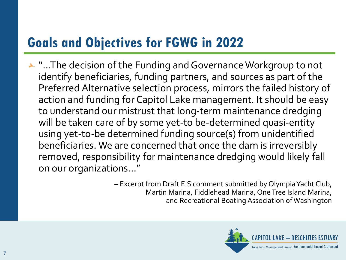### **Goals and Objectives for FGWG in 2022**

↓ "...The decision of the Funding and Governance Workgroup to not identify beneficiaries, funding partners, and sources as part of the Preferred Alternative selection process, mirrors the failed history of action and funding for Capitol Lake management. It should be easy to understand our mistrust that long-term maintenance dredging will be taken care of by some yet-to be-determined quasi-entity using yet-to-be determined funding source(s) from unidentified beneficiaries. We are concerned that once the dam is irreversibly removed, responsibility for maintenance dredging would likely fall on our organizations…"

> – Excerpt from Draft EIS comment submitted by Olympia Yacht Club, Martin Marina, Fiddlehead Marina, One Tree Island Marina, and Recreational Boating Association of Washington

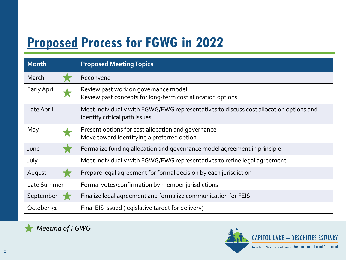### **Proposed Process for FGWG in 2022**

| <b>Month</b> | <b>Proposed Meeting Topics</b>                                                                                          |
|--------------|-------------------------------------------------------------------------------------------------------------------------|
| March        | Reconvene                                                                                                               |
| Early April  | Review past work on governance model<br>Review past concepts for long-term cost allocation options                      |
| Late April   | Meet individually with FGWG/EWG representatives to discuss cost allocation options and<br>identify critical path issues |
| May          | Present options for cost allocation and governance<br>Move toward identifying a preferred option                        |
| June         | Formalize funding allocation and governance model agreement in principle                                                |
| July         | Meet individually with FGWG/EWG representatives to refine legal agreement                                               |
| August       | Prepare legal agreement for formal decision by each jurisdiction                                                        |
| Late Summer  | Formal votes/confirmation by member jurisdictions                                                                       |
| September    | Finalize legal agreement and formalize communication for FEIS                                                           |
| October 31   | Final EIS issued (legislative target for delivery)                                                                      |



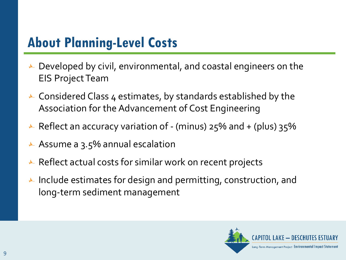### **About Planning-Level Costs**

- $\blacktriangleright$  Developed by civil, environmental, and coastal engineers on the EIS Project Team
- $\overline{\phantom{a}}$  Considered Class 4 estimates, by standards established by the Association for the Advancement of Cost Engineering
- Reflect an accuracy variation of (minus)  $25\%$  and + (plus)  $35\%$
- Assume a  $3.5%$  annual escalation
- $\star$  Reflect actual costs for similar work on recent projects
- Include estimates for design and permitting, construction, and long-term sediment management

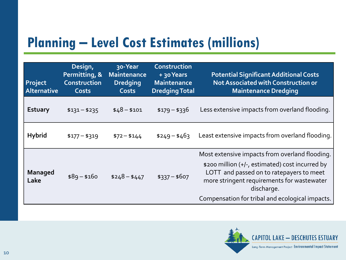### **Planning – Level Cost Estimates (millions)**

| Project<br>Alternative | Design,<br>Permitting, &<br>Construction<br><b>Costs</b> | 30-Year<br><b>Maintenance</b><br><b>Dredging</b><br><b>Costs</b> | Construction<br>+ 30 Years<br><b>Maintenance</b><br><b>Dredging Total</b> | <b>Potential Significant Additional Costs</b><br>Not Associated with Construction or<br><b>Maintenance Dredging</b>                                                                                                                                          |
|------------------------|----------------------------------------------------------|------------------------------------------------------------------|---------------------------------------------------------------------------|--------------------------------------------------------------------------------------------------------------------------------------------------------------------------------------------------------------------------------------------------------------|
| <b>Estuary</b>         | $$131 - $235$                                            | $$48 - $101$                                                     | $$179 - $336$                                                             | Less extensive impacts from overland flooding.                                                                                                                                                                                                               |
| <b>Hybrid</b>          | $$177 - $319$                                            | $$72 - $144$                                                     | $$249 - $463$                                                             | Least extensive impacts from overland flooding.                                                                                                                                                                                                              |
| <b>Managed</b><br>Lake | $$89 - $160$                                             | $$248 - $447$                                                    | $$337 - $607$                                                             | Most extensive impacts from overland flooding.<br>\$200 million (+/-, estimated) cost incurred by<br>LOTT and passed on to ratepayers to meet<br>more stringent requirements for wastewater<br>discharge.<br>Compensation for tribal and ecological impacts. |

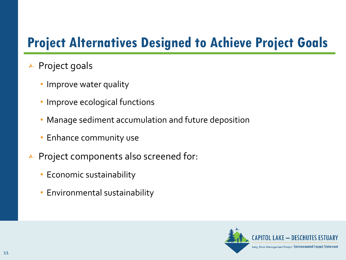### **Project Alternatives Designed to Achieve Project Goals**

- $\overline{\phantom{a}}$  Project goals
	- Improve water quality
	- Improve ecological functions
	- Manage sediment accumulation and future deposition
	- Enhance community use
- $\blacktriangleright$  Project components also screened for:
	- Economic sustainability
	- Environmental sustainability

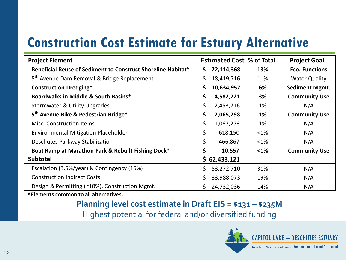### **Construction Cost Estimate for Estuary Alternative**

| <b>Project Element</b>                                       |    | <b>Estimated Costl % of Total</b> |           | <b>Project Goal</b>   |  |
|--------------------------------------------------------------|----|-----------------------------------|-----------|-----------------------|--|
| Beneficial Reuse of Sediment to Construct Shoreline Habitat* | \$ | 22,114,368                        | 13%       | <b>Eco. Functions</b> |  |
| 5 <sup>th</sup> Avenue Dam Removal & Bridge Replacement      |    | 18,419,716                        | 11%       | <b>Water Quality</b>  |  |
| <b>Construction Dredging*</b>                                | S  | 10,634,957                        | 6%        | <b>Sediment Mgmt.</b> |  |
| Boardwalks in Middle & South Basins*                         | \$ | 4,582,221                         | 3%        | <b>Community Use</b>  |  |
| <b>Stormwater &amp; Utility Upgrades</b>                     | \$ | 2,453,716                         | 1%        | N/A                   |  |
| 5 <sup>th</sup> Avenue Bike & Pedestrian Bridge*             | \$ | 2,065,298                         | <b>1%</b> | <b>Community Use</b>  |  |
| <b>Misc. Construction Items</b>                              | \$ | 1,067,273                         | 1%        | N/A                   |  |
| <b>Environmental Mitigation Placeholder</b>                  | \$ | 618,150                           | <1%       | N/A                   |  |
| Deschutes Parkway Stabilization                              | \$ | 466,867                           | $<$ 1%    | N/A                   |  |
| Boat Ramp at Marathon Park & Rebuilt Fishing Dock*           | \$ | 10,557                            | $1%$      | <b>Community Use</b>  |  |
| <b>Subtotal</b>                                              |    | \$62,433,121                      |           |                       |  |
| Escalation (3.5%/year) & Contingency (15%)                   | Ś. | 53,272,710                        | 31%       | N/A                   |  |
| <b>Construction Indirect Costs</b>                           |    | 33,988,073                        | 19%       | N/A                   |  |
| Design & Permitting (~10%), Construction Mgmt.               |    | 24,732,036                        | 14%       | N/A                   |  |

**\*Elements common to all alternatives.** 

#### **Planning level cost estimate in Draft EIS = \$131 – \$235M** Highest potential for federal and/or diversified funding

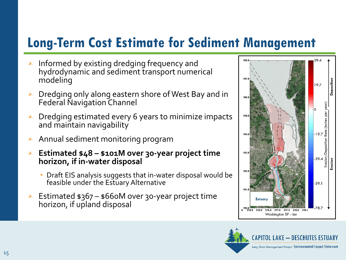### **Long-Term Cost Estimate for Sediment Management**

- $\blacktriangleright$  Informed by existing dredging frequency and hydrodynamic and sediment transport numerical modeling
- $\blacktriangleright$  Dredging only along eastern shore of West Bay and in Federal Navigation Channel
- Dredging estimated every 6 years to minimize impacts and maintain navigability
- Annual sediment monitoring program
- **Estimated \$48 – \$101M over 30-year project time horizon, if in-water disposal** 
	- Draft EIS analysis suggests that in-water disposal would be feasible under the Estuary Alternative
- Estimated  $$367 $660M$  over 30-year project time horizon, if upland disposal



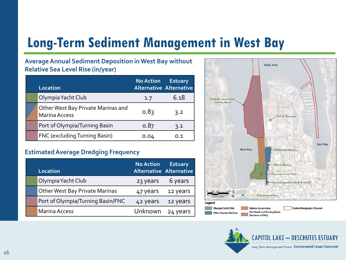### **Long-Term Sediment Management in West Bay**

#### **Average Annual Sediment Deposition in West Bay without Relative Sea Level Rise (in/year)**

| Location                                                   | <b>No Action</b><br><b>Alternative Alternative</b> | <b>Estuary</b> |
|------------------------------------------------------------|----------------------------------------------------|----------------|
| Olympia Yacht Club                                         | 1.7                                                | 6.18           |
| Other West Bay Private Marinas and<br><b>Marina Access</b> | 0.83                                               | 3.2            |
| Port of Olympia/Turning Basin                              | 0.87                                               | 3.1            |
| FNC (excluding Turning Basin)                              | 0.04                                               | 0.1            |

#### **Estimated Average Dredging Frequency**

| Location                              | <b>No Action</b> | <b>Estuary</b><br><b>Alternative Alternative</b> |
|---------------------------------------|------------------|--------------------------------------------------|
| Olympia Yacht Club                    | 23 years         | 6 years                                          |
| <b>Other West Bay Private Marinas</b> | 47 years         | 12 years                                         |
| Port of Olympia/Turning Basin/FNC     | 42 years         | 12 years                                         |
| <b>Marina Access</b>                  | Unknown          | 24 years                                         |



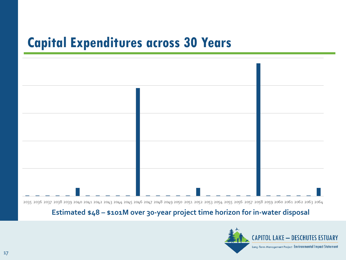### **Capital Expenditures across 30 Years**



2035 2036 2037 2038 2039 2040 2041 2042 2043 2044 2045 2046 2047 2048 2049 2050 2051 2052 2053 2054 2055 2056 2057 2058 2059 2060 2061 2062 2063 2064

#### **Estimated \$48 – \$101M over 30-year project time horizon for in-water disposal**

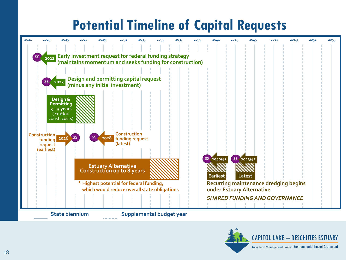## **Potential Timeline of Capital Requests**

| 2021 | 2023                | 2025                      | 2027 | 2029                                                                                                               | 2031                        | 2033 | 2035                     | 2037 | 2039 | 2041                      | 2043 | 2045           | 2047                                         | 2049 | 2051 | 2053 |
|------|---------------------|---------------------------|------|--------------------------------------------------------------------------------------------------------------------|-----------------------------|------|--------------------------|------|------|---------------------------|------|----------------|----------------------------------------------|------|------|------|
|      |                     |                           |      |                                                                                                                    | .                           |      |                          |      |      |                           |      |                |                                              |      |      |      |
|      | \$\$ 2022           |                           |      |                                                                                                                    |                             |      |                          |      |      |                           |      |                |                                              |      |      |      |
|      |                     |                           |      | Early investment request for federal funding strategy<br>  (maintains momentum and seeks funding for construction) |                             |      |                          |      |      |                           |      |                |                                              |      |      |      |
|      |                     |                           |      |                                                                                                                    |                             |      |                          |      |      |                           |      |                |                                              |      |      |      |
|      | \$\$ 2023           |                           |      | Design and permitting capital request                                                                              |                             |      |                          |      |      |                           |      |                |                                              |      |      |      |
|      |                     |                           |      | (minus any initial investment)                                                                                     |                             |      |                          |      |      |                           |      |                |                                              |      |      |      |
|      |                     |                           |      |                                                                                                                    |                             |      |                          |      |      |                           |      |                |                                              |      |      |      |
|      |                     | Design &<br>Permitting    |      |                                                                                                                    |                             |      |                          |      |      |                           |      |                |                                              |      |      |      |
|      |                     | $3 - 5$ years<br>(≥10% of |      |                                                                                                                    |                             |      |                          |      |      |                           |      |                |                                              |      |      |      |
|      |                     | const. costs)             |      |                                                                                                                    |                             |      |                          |      |      |                           |      |                |                                              |      |      |      |
|      |                     |                           |      |                                                                                                                    |                             |      |                          |      |      |                           |      |                |                                              |      |      |      |
|      | <b>Construction</b> | 2026 \$\$                 |      | \$\$ 2028                                                                                                          | Construction                |      |                          |      |      |                           |      |                |                                              |      |      |      |
|      | funding<br>request  |                           |      |                                                                                                                    | funding request<br>(latest) |      |                          |      |      |                           |      |                |                                              |      |      |      |
|      | (earliest)          |                           |      |                                                                                                                    |                             |      |                          |      |      |                           |      |                |                                              |      |      |      |
|      |                     |                           |      |                                                                                                                    |                             |      |                          |      |      | $$8\sqrt{2040/41}$        |      | $$8 \ 2043/45$ |                                              |      |      |      |
|      |                     |                           |      | <b>Estuary Alternative</b><br>Construction up to 8 years                                                           |                             |      |                          |      |      |                           |      |                |                                              |      |      |      |
|      |                     |                           |      |                                                                                                                    |                             |      |                          |      |      | <b>Earliest</b>           |      | Latest         |                                              |      |      |      |
|      |                     |                           |      | * Highest potential for federal funding,                                                                           |                             |      |                          |      |      |                           |      |                | <b>Recurring maintenance dredging begins</b> |      |      |      |
|      |                     |                           |      | which would reduce overall state obligations                                                                       |                             |      |                          |      |      | under Estuary Alternative |      |                |                                              |      |      |      |
|      |                     |                           |      |                                                                                                                    |                             |      |                          |      |      |                           |      |                | <b>SHARED FUNDING AND GOVERNANCE</b>         |      |      |      |
|      |                     |                           |      |                                                                                                                    |                             |      |                          |      |      |                           |      |                |                                              |      |      |      |
|      |                     | <b>State biennium</b>     |      |                                                                                                                    |                             |      | Supplemental budget year |      |      |                           |      |                |                                              |      |      |      |

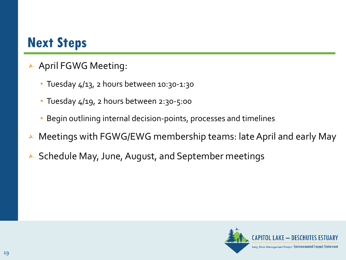### **Next Steps**

- ← April FGWG Meeting:
	- Tuesday 4/13, 2 hours between 10:30-1:30
	- Tuesday 4/19, 2 hours between 2:30-5:00
	- Begin outlining internal decision-points, processes and timelines
- Meetings with FGWG/EWG membership teams: late April and early May
- ► Schedule May, June, August, and September meetings